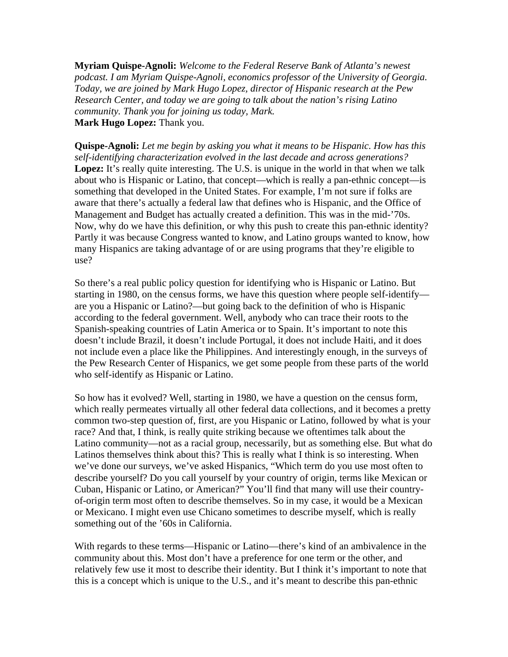**Myriam Quispe-Agnoli:** *Welcome to the Federal Reserve Bank of Atlanta's newest podcast. I am Myriam Quispe-Agnoli, economics professor of the University of Georgia. Today, we are joined by Mark Hugo Lopez, director of Hispanic research at the Pew Research Center, and today we are going to talk about the nation's rising Latino community. Thank you for joining us today, Mark.*  **Mark Hugo Lopez:** Thank you.

**Quispe-Agnoli:** *Let me begin by asking you what it means to be Hispanic. How has this self-identifying characterization evolved in the last decade and across generations?*  Lopez: It's really quite interesting. The U.S. is unique in the world in that when we talk about who is Hispanic or Latino, that concept—which is really a pan-ethnic concept—is something that developed in the United States. For example, I'm not sure if folks are aware that there's actually a federal law that defines who is Hispanic, and the Office of Management and Budget has actually created a definition. This was in the mid-'70s. Now, why do we have this definition, or why this push to create this pan-ethnic identity? Partly it was because Congress wanted to know, and Latino groups wanted to know, how many Hispanics are taking advantage of or are using programs that they're eligible to use?

So there's a real public policy question for identifying who is Hispanic or Latino. But starting in 1980, on the census forms, we have this question where people self-identify are you a Hispanic or Latino?—but going back to the definition of who is Hispanic according to the federal government. Well, anybody who can trace their roots to the Spanish-speaking countries of Latin America or to Spain. It's important to note this doesn't include Brazil, it doesn't include Portugal, it does not include Haiti, and it does not include even a place like the Philippines. And interestingly enough, in the surveys of the Pew Research Center of Hispanics, we get some people from these parts of the world who self-identify as Hispanic or Latino.

So how has it evolved? Well, starting in 1980, we have a question on the census form, which really permeates virtually all other federal data collections, and it becomes a pretty common two-step question of, first, are you Hispanic or Latino, followed by what is your race? And that, I think, is really quite striking because we oftentimes talk about the Latino community—not as a racial group, necessarily, but as something else. But what do Latinos themselves think about this? This is really what I think is so interesting. When we've done our surveys, we've asked Hispanics, "Which term do you use most often to describe yourself? Do you call yourself by your country of origin, terms like Mexican or Cuban, Hispanic or Latino, or American?" You'll find that many will use their countryof-origin term most often to describe themselves. So in my case, it would be a Mexican or Mexicano. I might even use Chicano sometimes to describe myself, which is really something out of the '60s in California.

With regards to these terms—Hispanic or Latino—there's kind of an ambivalence in the community about this. Most don't have a preference for one term or the other, and relatively few use it most to describe their identity. But I think it's important to note that this is a concept which is unique to the U.S., and it's meant to describe this pan-ethnic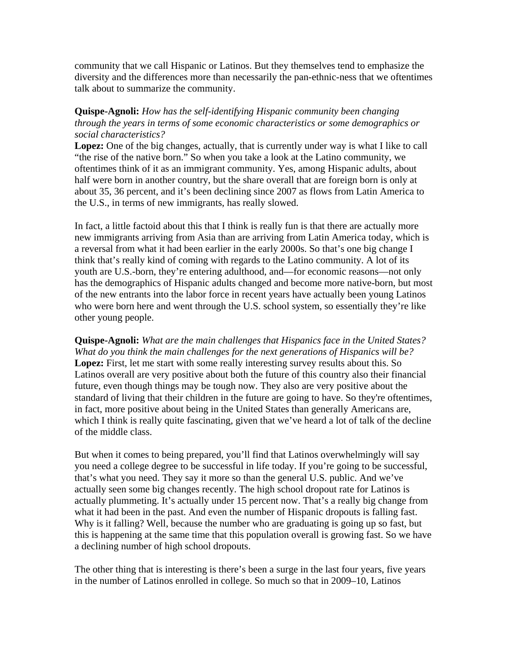community that we call Hispanic or Latinos. But they themselves tend to emphasize the diversity and the differences more than necessarily the pan-ethnic-ness that we oftentimes talk about to summarize the community.

## **Quispe-Agnoli:** *How has the self-identifying Hispanic community been changing through the years in terms of some economic characteristics or some demographics or social characteristics?*

**Lopez:** One of the big changes, actually, that is currently under way is what I like to call "the rise of the native born." So when you take a look at the Latino community, we oftentimes think of it as an immigrant community. Yes, among Hispanic adults, about half were born in another country, but the share overall that are foreign born is only at about 35, 36 percent, and it's been declining since 2007 as flows from Latin America to the U.S., in terms of new immigrants, has really slowed.

In fact, a little factoid about this that I think is really fun is that there are actually more new immigrants arriving from Asia than are arriving from Latin America today, which is a reversal from what it had been earlier in the early 2000s. So that's one big change I think that's really kind of coming with regards to the Latino community. A lot of its youth are U.S.-born, they're entering adulthood, and—for economic reasons—not only has the demographics of Hispanic adults changed and become more native-born, but most of the new entrants into the labor force in recent years have actually been young Latinos who were born here and went through the U.S. school system, so essentially they're like other young people.

**Quispe-Agnoli:** *What are the main challenges that Hispanics face in the United States? What do you think the main challenges for the next generations of Hispanics will be?* **Lopez:** First, let me start with some really interesting survey results about this. So Latinos overall are very positive about both the future of this country also their financial future, even though things may be tough now. They also are very positive about the standard of living that their children in the future are going to have. So they're oftentimes, in fact, more positive about being in the United States than generally Americans are, which I think is really quite fascinating, given that we've heard a lot of talk of the decline of the middle class.

But when it comes to being prepared, you'll find that Latinos overwhelmingly will say you need a college degree to be successful in life today. If you're going to be successful, that's what you need. They say it more so than the general U.S. public. And we've actually seen some big changes recently. The high school dropout rate for Latinos is actually plummeting. It's actually under 15 percent now. That's a really big change from what it had been in the past. And even the number of Hispanic dropouts is falling fast. Why is it falling? Well, because the number who are graduating is going up so fast, but this is happening at the same time that this population overall is growing fast. So we have a declining number of high school dropouts.

The other thing that is interesting is there's been a surge in the last four years, five years in the number of Latinos enrolled in college. So much so that in 2009–10, Latinos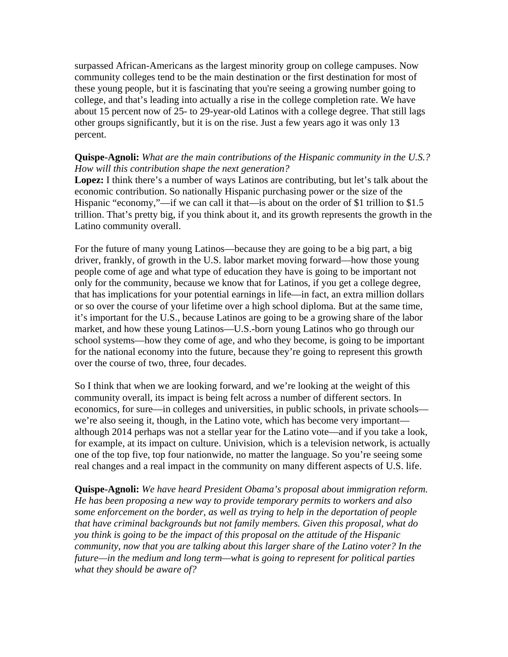surpassed African-Americans as the largest minority group on college campuses. Now community colleges tend to be the main destination or the first destination for most of these young people, but it is fascinating that you're seeing a growing number going to college, and that's leading into actually a rise in the college completion rate. We have about 15 percent now of 25- to 29-year-old Latinos with a college degree. That still lags other groups significantly, but it is on the rise. Just a few years ago it was only 13 percent.

## **Quispe-Agnoli:** *What are the main contributions of the Hispanic community in the U.S.? How will this contribution shape the next generation?*

**Lopez:** I think there's a number of ways Latinos are contributing, but let's talk about the economic contribution. So nationally Hispanic purchasing power or the size of the Hispanic "economy,"—if we can call it that—is about on the order of \$1 trillion to \$1.5 trillion. That's pretty big, if you think about it, and its growth represents the growth in the Latino community overall.

For the future of many young Latinos—because they are going to be a big part, a big driver, frankly, of growth in the U.S. labor market moving forward—how those young people come of age and what type of education they have is going to be important not only for the community, because we know that for Latinos, if you get a college degree, that has implications for your potential earnings in life—in fact, an extra million dollars or so over the course of your lifetime over a high school diploma. But at the same time, it's important for the U.S., because Latinos are going to be a growing share of the labor market, and how these young Latinos—U.S.-born young Latinos who go through our school systems—how they come of age, and who they become, is going to be important for the national economy into the future, because they're going to represent this growth over the course of two, three, four decades.

So I think that when we are looking forward, and we're looking at the weight of this community overall, its impact is being felt across a number of different sectors. In economics, for sure—in colleges and universities, in public schools, in private schools we're also seeing it, though, in the Latino vote, which has become very important although 2014 perhaps was not a stellar year for the Latino vote—and if you take a look, for example, at its impact on culture. Univision, which is a television network, is actually one of the top five, top four nationwide, no matter the language. So you're seeing some real changes and a real impact in the community on many different aspects of U.S. life.

**Quispe-Agnoli:** *We have heard President Obama's proposal about immigration reform. He has been proposing a new way to provide temporary permits to workers and also some enforcement on the border, as well as trying to help in the deportation of people that have criminal backgrounds but not family members. Given this proposal, what do you think is going to be the impact of this proposal on the attitude of the Hispanic community, now that you are talking about this larger share of the Latino voter? In the future—in the medium and long term—what is going to represent for political parties what they should be aware of?*